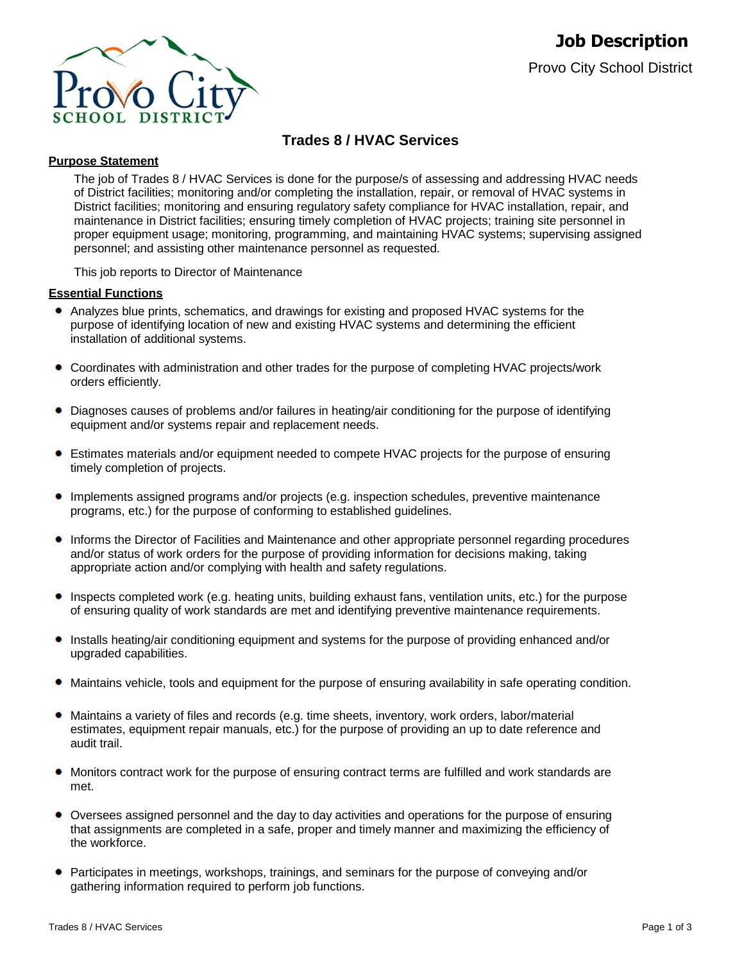

# **Trades 8 / HVAC Services**

### **Purpose Statement**

The job of Trades 8 / HVAC Services is done for the purpose/s of assessing and addressing HVAC needs of District facilities; monitoring and/or completing the installation, repair, or removal of HVAC systems in District facilities; monitoring and ensuring regulatory safety compliance for HVAC installation, repair, and maintenance in District facilities; ensuring timely completion of HVAC projects; training site personnel in proper equipment usage; monitoring, programming, and maintaining HVAC systems; supervising assigned personnel; and assisting other maintenance personnel as requested.

This job reports to Director of Maintenance

# **Essential Functions**

- Analyzes blue prints, schematics, and drawings for existing and proposed HVAC systems for the purpose of identifying location of new and existing HVAC systems and determining the efficient installation of additional systems.
- Coordinates with administration and other trades for the purpose of completing HVAC projects/work orders efficiently.
- Diagnoses causes of problems and/or failures in heating/air conditioning for the purpose of identifying equipment and/or systems repair and replacement needs.
- Estimates materials and/or equipment needed to compete HVAC projects for the purpose of ensuring timely completion of projects.
- Implements assigned programs and/or projects (e.g. inspection schedules, preventive maintenance programs, etc.) for the purpose of conforming to established guidelines.
- Informs the Director of Facilities and Maintenance and other appropriate personnel regarding procedures and/or status of work orders for the purpose of providing information for decisions making, taking appropriate action and/or complying with health and safety regulations.
- ۰ Inspects completed work (e.g. heating units, building exhaust fans, ventilation units, etc.) for the purpose of ensuring quality of work standards are met and identifying preventive maintenance requirements.
- Installs heating/air conditioning equipment and systems for the purpose of providing enhanced and/or upgraded capabilities.
- Maintains vehicle, tools and equipment for the purpose of ensuring availability in safe operating condition.
- Maintains a variety of files and records (e.g. time sheets, inventory, work orders, labor/material estimates, equipment repair manuals, etc.) for the purpose of providing an up to date reference and audit trail.
- Monitors contract work for the purpose of ensuring contract terms are fulfilled and work standards are met.
- Oversees assigned personnel and the day to day activities and operations for the purpose of ensuring ۰ that assignments are completed in a safe, proper and timely manner and maximizing the efficiency of the workforce.
- **•** Participates in meetings, workshops, trainings, and seminars for the purpose of conveying and/or gathering information required to perform job functions.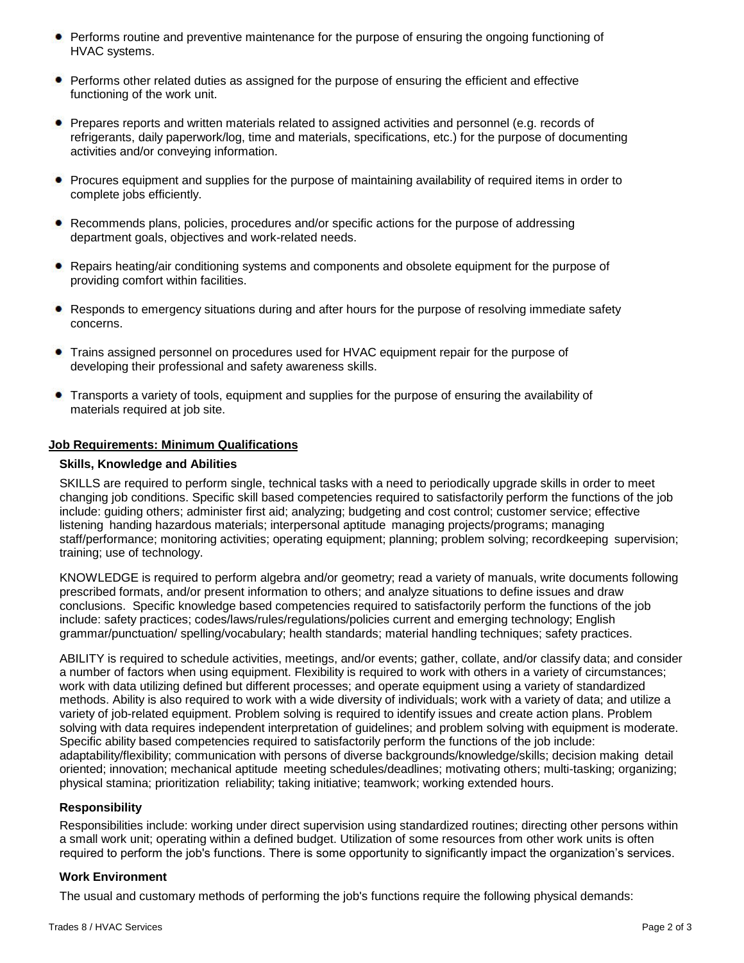- **Performs routine and preventive maintenance for the purpose of ensuring the ongoing functioning of** HVAC systems.
- Performs other related duties as assigned for the purpose of ensuring the efficient and effective functioning of the work unit.
- Prepares reports and written materials related to assigned activities and personnel (e.g. records of refrigerants, daily paperwork/log, time and materials, specifications, etc.) for the purpose of documenting activities and/or conveying information.
- Procures equipment and supplies for the purpose of maintaining availability of required items in order to complete jobs efficiently.
- Recommends plans, policies, procedures and/or specific actions for the purpose of addressing department goals, objectives and work-related needs.
- Repairs heating/air conditioning systems and components and obsolete equipment for the purpose of providing comfort within facilities.
- Responds to emergency situations during and after hours for the purpose of resolving immediate safety concerns.
- Trains assigned personnel on procedures used for HVAC equipment repair for the purpose of developing their professional and safety awareness skills.
- Transports a variety of tools, equipment and supplies for the purpose of ensuring the availability of materials required at job site.

# **Job Requirements: Minimum Qualifications**

# **Skills, Knowledge and Abilities**

SKILLS are required to perform single, technical tasks with a need to periodically upgrade skills in order to meet changing job conditions. Specific skill based competencies required to satisfactorily perform the functions of the job include: guiding others; administer first aid; analyzing; budgeting and cost control; customer service; effective listening handing hazardous materials; interpersonal aptitude managing projects/programs; managing staff/performance; monitoring activities; operating equipment; planning; problem solving; recordkeeping supervision; training; use of technology.

KNOWLEDGE is required to perform algebra and/or geometry; read a variety of manuals, write documents following prescribed formats, and/or present information to others; and analyze situations to define issues and draw conclusions. Specific knowledge based competencies required to satisfactorily perform the functions of the job include: safety practices; codes/laws/rules/regulations/policies current and emerging technology; English grammar/punctuation/ spelling/vocabulary; health standards; material handling techniques; safety practices.

ABILITY is required to schedule activities, meetings, and/or events; gather, collate, and/or classify data; and consider a number of factors when using equipment. Flexibility is required to work with others in a variety of circumstances; work with data utilizing defined but different processes; and operate equipment using a variety of standardized methods. Ability is also required to work with a wide diversity of individuals; work with a variety of data; and utilize a variety of job-related equipment. Problem solving is required to identify issues and create action plans. Problem solving with data requires independent interpretation of guidelines; and problem solving with equipment is moderate. Specific ability based competencies required to satisfactorily perform the functions of the job include: adaptability/flexibility; communication with persons of diverse backgrounds/knowledge/skills; decision making detail oriented; innovation; mechanical aptitude meeting schedules/deadlines; motivating others; multi-tasking; organizing; physical stamina; prioritization reliability; taking initiative; teamwork; working extended hours.

### **Responsibility**

Responsibilities include: working under direct supervision using standardized routines; directing other persons within a small work unit; operating within a defined budget. Utilization of some resources from other work units is often required to perform the job's functions. There is some opportunity to significantly impact the organization's services.

### **Work Environment**

The usual and customary methods of performing the job's functions require the following physical demands: